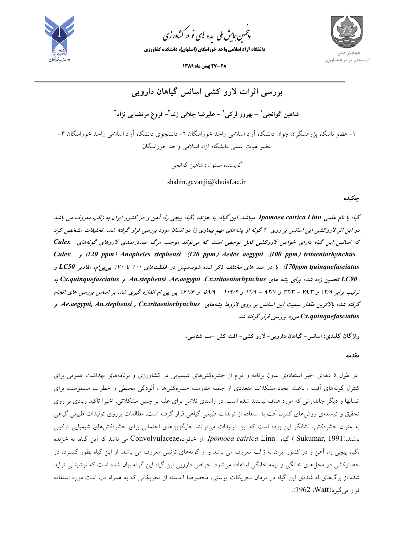

.<br>چمین *جایش ملی* ایده <sup>ب</sup>ای نو در کشاورزی ൕह

**دانشگاه آزاد اسلامي واحد خوراسگان (اصفهان)، دانشكده كشاورزي**



**27-28 بهمن ماه 1389** :

**بررسي اثرات لارو كشي اسانس گياهان دارويي <sup>3</sup> - فروغ مرتضايي نژاد <sup>3</sup> - عليرضا جلالي زند <sup>2</sup> – بهروز لركي <sup>1</sup> شاهين گوانجي** -1 عضو باشگاه پژوهشگران جوان دانشگاه آزاد اسلامي واحد خوراسگان -2 دانشجوي دانشگاه آزاد اسلامي واحد خوراسگان -3 عضو هيات علمي دانشگاه آزاد اسلامي واحد خوراسگان

نويسنده مسئول : شاهين گوانجي \*

shahin.gavanji@khuisf.ac.ir

**چكيده**

گیاه با نام علمی Ipomoea cairica Linn میباشد. این گیاه، به خزنده ،گیاه پیچی راه آهن و در کشور ایران به ژالب معروف می باشد در این اثر لاروکشی این اسانس بر روی ۴ گونه از پشههای مهم بیماری زا در انسان مورد بررسی قرار گرفته شد. تحقیقات مشخص کرد که اسانس این گیاه دارای خواص لاروکشی قابل توجهی است که می تواند موجب مرگ صددرصدی لاروهای گونههای Culex *Culex* **و)** *120 ppm***)** *Anopheles stephensi* **،(***120 ppm***)** *Aedes aegypti* **،(***100 ppm***)** *tritaeniorhynchus*  d70ppm xuinquefasciatus) با در صد های مختلف ذکر شده شود.سیس در غلظتهای ۱۰۰ تا ۱۷۰ یی پی/م، مقادیر LC50 و **به** *Cx.quinquefasciatus* **<sup>و</sup>** *An.stephensi* **،***Ae.aegypti* **،***Cx.tritaeniorhynchus* **هاي پشه براي شده زده تخمين** *LC90* ترتیب برابر ۱۴/۸ و ۲۲/۳ – ۲۲/۳ و ۱۴/۷ – ۱۴/۹ و ۱۰۹/۹ – ۵۸/۹ و ۱۶۱/۶ پی پی ام اندازه گیری شد. بر اساس بررسی های انجام گرفته شده بالاترین مقدار سمیت این اسانس بر روی لاروها بشههای Ae.aegypti, An.stephensi , Cx.tritaeniorhynchus و *quinquefasciatus.Cx* **مورد بررسي قرار گرفته شد** 

**واژگان كليدي: اسانس- گياهان دارويي- لارو كشي- آفت كش –سم شناسي.** 

**مقدمه** 

در طول 5 دههي اخير استفادهي بدون برنامه و توام از حشرهكشهاي شيميايي در كشاورزي و برنامههاي بهداشت عمومي براي كنترل گونههاي آفت ، باعث ايجاد مشكلات متعددي از جمله مقاومت حشرهكشها ، آلودگي محيطي و خطرات مسموميت براي انسانها و ديگر جانداراني كه مورد هدف نيستند شده است. در راستاي تلاش براي غلبه بر چنين مشكلاتي، اخيرا تاكيد زيادي بر روي تحقيق و توسعهي روشهاي كنترل آفت با استفاده از تولدات طبيعي گياهي قرار گرفته است. مطالعات برروي توليدات طبيعي گياهي به عنوان حشرهكش، نشانگر اين بوده است كه اين توليدات ميتوانند جايگزينهاي احتمالي براي حشرهكشهاي شيميايي تركيبي باشند.(1991 ,Sukumar ( گياه Linn *cairica Ipomoea* از خانوادهConvolvulaceae مي باشد كه اين گياه، به خزنده ،گياه پيچي راه آهن و در كشور ايران به ژالب معروف مي باشد و از گونههاي تزئيني معروف مي باشد. از اين گياه بطور گسترده در حصاركشي در محلهاي خانگي و نيمه خانگي استفاده ميشود. خواص دارويي اين گياه اين گونه بيان شده است كه نوشيدني توليد شده از برگهاي له شدهي اين گياه در درمان تحريكات پوستي، مخصوصا آندسته از تحريكاتي كه به همراه تب است مورد استفاده قرار مي گيرد(Watt). 1962).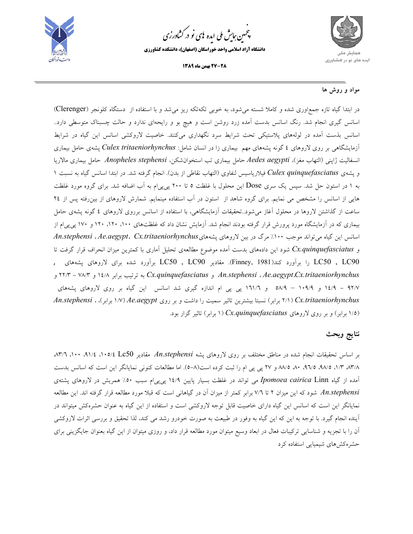

.<br>چمین *جایش ملی* ایده <sup>ب</sup>ای نو در کشاورزی ൕह

**دانشگاه آزاد اسلامي واحد خوراسگان (اصفهان)، دانشكده كشاورزي**





## **مواد و روش ها**

در ابتدا گياه تازه جمعاوري شده و كاملا شسته ميشود، به خوبي تكهتكه ريز ميشد و با استفاده از دستگاه كلونجر (Clerenger( اسانس گيري انجام شد. رنگ اسانس بدست آمده زرد روشن است و هيچ بو و رايحهاي ندارد و حالت چسبناك متوسطي دارد.. اسانس بذست آمده در لولههاي پلاستيكي تحت شرايط سرد نگهداري ميكنند. خاصيت لاروكشي اسانس اين گياه در شرايط آزمايشگاهي بر روي لاروهاي 4 گونه پشههاي مهم بيماري زا در انسان شامل: *tritaeniorhynchus Culex* پشهي حامل بيماري انسفاليت ژاپني (التهاب مغز)، *aegypti Aedes* حامل بيماري تب استخوانشكن، *stephensi Anopheles* حامل بيماري مالاريا و پشهي *quinquefasciatus Culex* فيلارياسيس لنفاوي (التهاب نقاطي از بدن). انجام گرفته شد. در ابتدا اسانس گياه به نسبت 1 به 1 در استون حل شد. سپس يك سري Dose اين محلول با غلظت 5 تا 200 پيپيام به آب اضافه شد. براي گروه مورد غلظت هايي از اسانس را مشخص مي نمايم. براي گروه شاهد از استون در آب استفاده مينمايم. شمارش لاروهاي از بينرفته پس از 24 ساعت از گذاشتن لاروها در محلول آغاز ميشود..تحقيقات آزمايشگاهي، با استفاده از اسانس برروي لاروهاي 4 گونه پشهي حامل بيماري كه در آزمايشگاه مورد پرورش قرار گرفته بودند انجام شد. آزمايش نشان داد كه غلظتهاي ،100 ،120 120 و 170 پيپيام از اسانس اين گياه ميتواند موجب %100 مرگ در بين لاروهاي پشههاي*tritaeniorhynchus.Cx* ،*aegypt.Ae* ، *stephensi.An* و *quinquefasciatus.Cx* شود اين دادههاي بدست آمده موضوع مطالعهي تحليل آماري با كمترين ميزان انحراف قرار گرفت تا 90LC , 50LC را برآورد كند(1981 ,Finney(. مقادير 90LC , 50LC برآورد شده براي لاروهاي پشههاي , و 22/3 - 78/3 و 14/8 برابر ترتيب به *Cx.quinquefasciatus* و *An.stephensi* ، *Ae.aegypt*،*Cx.tritaeniorhynchus* 92/7 - 14/9 و 109/9 – 58/9 و 161/6 پي پي ام اندازه گيري شد اسانس اين گياه بر روي لاروهاي پشههاي *tritaeniorhynchus.Cx*) 2/1 برابر) نسبتا بيشترين تاثير سميت را داشت و بر روي *aegypt.Ae*) 1/7 برابر)، ، *stephensi.An* (1/5 برابر) و بر روي لاروهاي *quinquefasciatus.Cx*) 1 برابر) تاثير گزار بود.

## **نتايج وبحث**

بر اساس تحقيقات انجام شده در مناطق مختلف بر روي لاروهاي پشه *stephensi.An* مقادير 50Lc ،105/4 ،91/4 ،100 ،83/6 ،83/8 ،1/3 ،98/5 ،96/5 ،80 88/5 و 27 پي پي ام را ثبت كرده است(-8 5). اما مطالعات كنوني نمايانگر اين است كه اسانس بدست آمده از گياه Linn *cairica Ipomoea* مي تواند در غلظت بسيار پايين 14/9 پيپيام سبب %50 همريش در لاروهاي پشتهي *stephensi.An* شود كه اين ميزان 2 تا 7/6 برابر كمتر از ميزان آن در گياهاني است كه قبلا مورد مطالعه قرار گرفته اند. اين مطالعه نمايانگر اين است كه اسانس اين گياه داراي خاصيت قابل توجه لاروكشي است و استفاده از اين گياه به عنوان حشرهكش ميتواند در آينده انجام گيرد. با توجه به اين كه اين گياه به وفور در طبيعت به صورت خودرو رشد مي كند، لذا تحقيق و بررسي اثرات لاروكشي آن را با تجزيه و شناسايي تركيبات فعال در ابعاد وسيع ميتوان مورد مطالعه قرار داد، و روزي ميتوان از اين گياه بعنوان جايگزيني براي حشرهكشهاي شيميايي استفاده كرد